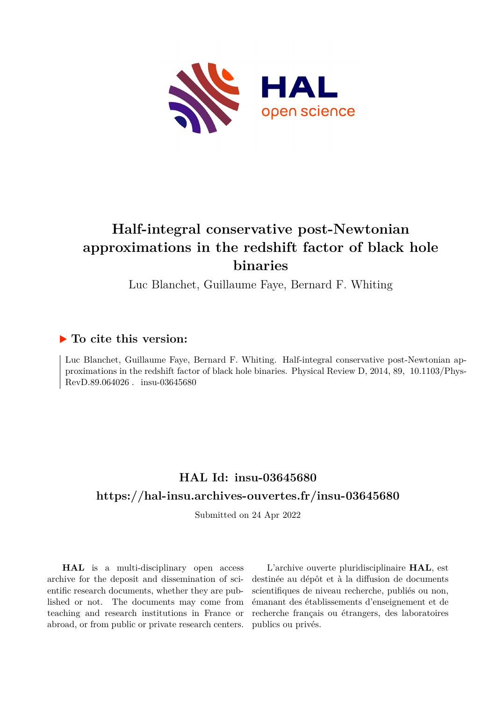

# **Half-integral conservative post-Newtonian approximations in the redshift factor of black hole binaries**

Luc Blanchet, Guillaume Faye, Bernard F. Whiting

### **To cite this version:**

Luc Blanchet, Guillaume Faye, Bernard F. Whiting. Half-integral conservative post-Newtonian approximations in the redshift factor of black hole binaries. Physical Review D, 2014, 89, 10.1103/Phys- $RevD.89.064026$ . insu-03645680

## **HAL Id: insu-03645680 <https://hal-insu.archives-ouvertes.fr/insu-03645680>**

Submitted on 24 Apr 2022

**HAL** is a multi-disciplinary open access archive for the deposit and dissemination of scientific research documents, whether they are published or not. The documents may come from teaching and research institutions in France or abroad, or from public or private research centers.

L'archive ouverte pluridisciplinaire **HAL**, est destinée au dépôt et à la diffusion de documents scientifiques de niveau recherche, publiés ou non, émanant des établissements d'enseignement et de recherche français ou étrangers, des laboratoires publics ou privés.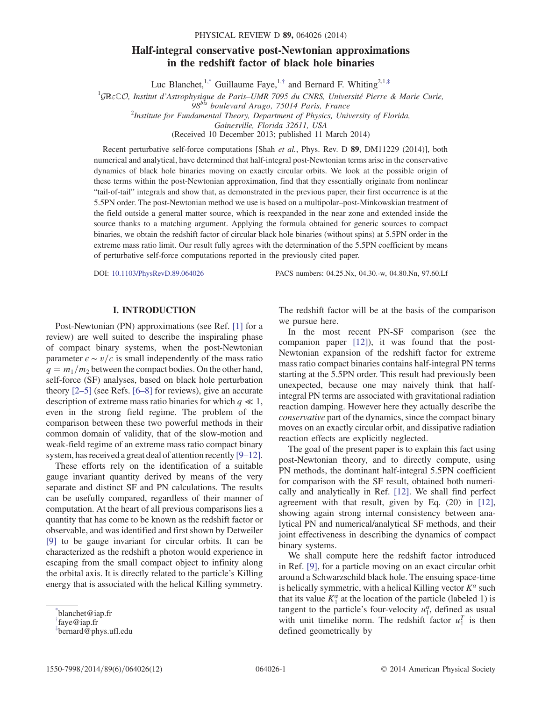#### Half-integral conservative post-Newtonian approximations in the redshift factor of black hole binaries

Luc Blanchet,<sup>1,\*</sup> Guillaume Faye,<sup>1,†</sup> and Bernard F. Whiting<sup>2,1,‡</sup>

1 GℝεℂO, Institut d*'*Astrophysique de Paris–UMR 7095 du CNRS, Université Pierre & Marie Curie,  $98^{b}$  boulevard Arago, 75014 Paris, France

<sup>2</sup>Institute for Fundamental Theory, Department of Physics, University of Florida,

Gainesville, Florida 32611, USA

(Received 10 December 2013; published 11 March 2014)

Recent perturbative self-force computations [Shah *et al.*, Phys. Rev. D 89, DM11229 (2014)], both numerical and analytical, have determined that half-integral post-Newtonian terms arise in the conservative dynamics of black hole binaries moving on exactly circular orbits. We look at the possible origin of these terms within the post-Newtonian approximation, find that they essentially originate from nonlinear "tail-of-tail" integrals and show that, as demonstrated in the previous paper, their first occurrence is at the 5.5PN order. The post-Newtonian method we use is based on a multipolar–post-Minkowskian treatment of the field outside a general matter source, which is reexpanded in the near zone and extended inside the source thanks to a matching argument. Applying the formula obtained for generic sources to compact binaries, we obtain the redshift factor of circular black hole binaries (without spins) at 5.5PN order in the extreme mass ratio limit. Our result fully agrees with the determination of the 5.5PN coefficient by means of perturbative self-force computations reported in the previously cited paper.

DOI: [10.1103/PhysRevD.89.064026](http://dx.doi.org/10.1103/PhysRevD.89.064026) PACS numbers: 04.25.Nx, 04.30.-w, 04.80.Nn, 97.60.Lf

#### I. INTRODUCTION

Post-Newtonian (PN) approximations (see Ref. [1] for a review) are well suited to describe the inspiraling phase of compact binary systems, when the post-Newtonian parameter  $\epsilon \sim v/c$  is small independently of the mass ratio  $q = m_1/m_2$  between the compact bodies. On the other hand, self-force (SF) analyses, based on black hole perturbation theory [2–5] (see Refs. [6–8] for reviews), give an accurate description of extreme mass ratio binaries for which  $q \ll 1$ , even in the strong field regime. The problem of the comparison between these two powerful methods in their common domain of validity, that of the slow-motion and weak-field regime of an extreme mass ratio compact binary system, has received a great deal of attention recently [9–12].

These efforts rely on the identification of a suitable gauge invariant quantity derived by means of the very separate and distinct SF and PN calculations. The results can be usefully compared, regardless of their manner of computation. At the heart of all previous comparisons lies a quantity that has come to be known as the redshift factor or observable, and was identified and first shown by Detweiler [9] to be gauge invariant for circular orbits. It can be characterized as the redshift a photon would experience in escaping from the small compact object to infinity along the orbital axis. It is directly related to the particle's Killing energy that is associated with the helical Killing symmetry.

The redshift factor will be at the basis of the comparison we pursue here.

In the most recent PN-SF comparison (see the companion paper [12]), it was found that the post-Newtonian expansion of the redshift factor for extreme mass ratio compact binaries contains half-integral PN terms starting at the 5.5PN order. This result had previously been unexpected, because one may naively think that halfintegral PN terms are associated with gravitational radiation reaction damping. However here they actually describe the conservative part of the dynamics, since the compact binary moves on an exactly circular orbit, and dissipative radiation reaction effects are explicitly neglected.

The goal of the present paper is to explain this fact using post-Newtonian theory, and to directly compute, using PN methods, the dominant half-integral 5.5PN coefficient for comparison with the SF result, obtained both numerically and analytically in Ref. [12]. We shall find perfect agreement with that result, given by Eq. (20) in [12], showing again strong internal consistency between analytical PN and numerical/analytical SF methods, and their joint effectiveness in describing the dynamics of compact binary systems.

We shall compute here the redshift factor introduced in Ref. [9], for a particle moving on an exact circular orbit around a Schwarzschild black hole. The ensuing space-time is helically symmetric, with a helical Killing vector  $K^{\alpha}$  such that its value  $K_{1}^{\alpha}$  at the location of the particle (labeled 1) is<br>tangent to the particle's four-velocity  $u^{\alpha}$  defined as usual tangent to the particle's four-velocity  $u_1^{\alpha}$ , defined as usual<br>with unit timelike norm. The redshift factor  $u_1^T$  is then with unit timelike norm. The redshift factor  $u_1^T$  is then defined geometrically by defined geometrically by

<sup>\*</sup> blanchet@iap.fr

<sup>†</sup> faye@iap.fr

<sup>‡</sup> bernard@phys.ufl.edu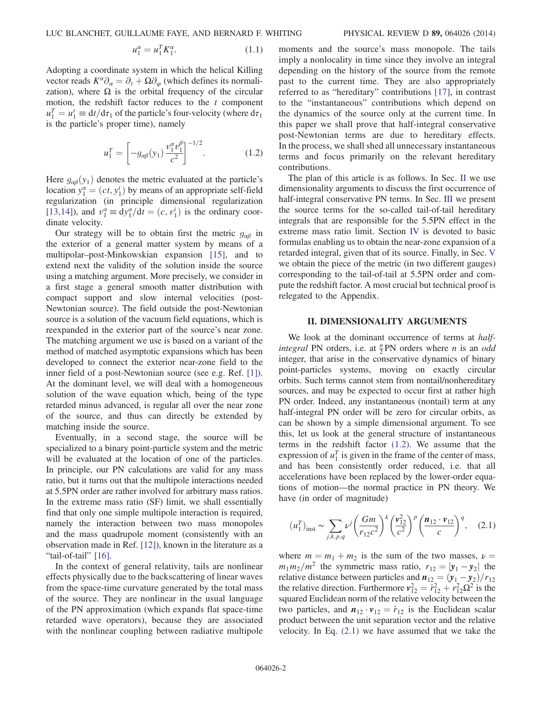LUC BLANCHET, GUILLAUME FAYE, AND BERNARD F. WHITING PHYSICAL REVIEW D 89, 064026 (2014)

$$
u_1^{\alpha} = u_1^T K_1^{\alpha}.
$$
 (1.1)

Adopting a coordinate system in which the helical Killing vector reads  $K^{\alpha}\partial_{\alpha} = \partial_t + \Omega \partial_{\varphi}$  (which defines its normalization), where  $\Omega$  is the orbital frequency of the circular motion, the redshift factor reduces to the  $t$  component  $u_1 = u_1 = \frac{du}{\alpha_1}$  or the particle's rout<br>is the particle's proper time), namely  $u_1^T = u_1^t \equiv dt/d\tau_1$  of the particle's four-velocity (where  $d\tau_1$ 

$$
u_1^T = \left[ -g_{\alpha\beta}(y_1) \frac{v_1^{\alpha} v_1^{\beta}}{c^2} \right]^{-1/2}.
$$
 (1.2)

Here  $g_{\alpha\beta}(y_1)$  denotes the metric evaluated at the particle's location  $y_1^{\alpha} = (ct, y_1^i)$  by means of an appropriate self-field<br>reqularization (in principle dimensional reqularization  $10$  diagram  $y_1 = (ct, y_1)$  by means or an appropriate sen-neight<br>regularization (in principle dimensional regularization [13,14]), and  $v_1^{\alpha} \equiv dy_1^{\alpha}/dt = (c, v_1^i)$  is the ordinary coordinate velocity dinate velocity.

Our strategy will be to obtain first the metric  $g_{\alpha\beta}$  in the exterior of a general matter system by means of a multipolar–post-Minkowskian expansion [15], and to extend next the validity of the solution inside the source using a matching argument. More precisely, we consider in a first stage a general smooth matter distribution with compact support and slow internal velocities (post-Newtonian source). The field outside the post-Newtonian source is a solution of the vacuum field equations, which is reexpanded in the exterior part of the source's near zone. The matching argument we use is based on a variant of the method of matched asymptotic expansions which has been developed to connect the exterior near-zone field to the inner field of a post-Newtonian source (see e.g. Ref. [1]). At the dominant level, we will deal with a homogeneous solution of the wave equation which, being of the type retarded minus advanced, is regular all over the near zone of the source, and thus can directly be extended by matching inside the source.

Eventually, in a second stage, the source will be specialized to a binary point-particle system and the metric will be evaluated at the location of one of the particles. In principle, our PN calculations are valid for any mass ratio, but it turns out that the multipole interactions needed at 5.5PN order are rather involved for arbitrary mass ratios. In the extreme mass ratio (SF) limit, we shall essentially find that only one simple multipole interaction is required, namely the interaction between two mass monopoles and the mass quadrupole moment (consistently with an observation made in Ref. [12]), known in the literature as a "tail-of-tail" [16].

In the context of general relativity, tails are nonlinear effects physically due to the backscattering of linear waves from the space-time curvature generated by the total mass of the source. They are nonlinear in the usual language of the PN approximation (which expands flat space-time retarded wave operators), because they are associated with the nonlinear coupling between radiative multipole moments and the source's mass monopole. The tails imply a nonlocality in time since they involve an integral depending on the history of the source from the remote past to the current time. They are also appropriately referred to as "hereditary" contributions [17], in contrast to the "instantaneous" contributions which depend on the dynamics of the source only at the current time. In this paper we shall prove that half-integral conservative post-Newtonian terms are due to hereditary effects. In the process, we shall shed all unnecessary instantaneous terms and focus primarily on the relevant hereditary contributions.

The plan of this article is as follows. In Sec. II we use dimensionality arguments to discuss the first occurrence of half-integral conservative PN terms. In Sec. III we present the source terms for the so-called tail-of-tail hereditary integrals that are responsible for the 5.5PN effect in the extreme mass ratio limit. Section IV is devoted to basic formulas enabling us to obtain the near-zone expansion of a retarded integral, given that of its source. Finally, in Sec. V we obtain the piece of the metric (in two different gauges) corresponding to the tail-of-tail at 5.5PN order and compute the redshift factor. A most crucial but technical proof is relegated to the Appendix.

#### II. DIMENSIONALITY ARGUMENTS

We look at the dominant occurrence of terms at *halfintegral* PN orders, i.e. at  $\frac{n}{2}$  PN orders where *n* is an *odd* integer that arise in the conservative dynamics of hinary integer, that arise in the conservative dynamics of binary point-particles systems, moving on exactly circular orbits. Such terms cannot stem from nontail/nonhereditary sources, and may be expected to occur first at rather high PN order. Indeed, any instantaneous (nontail) term at any half-integral PN order will be zero for circular orbits, as can be shown by a simple dimensional argument. To see this, let us look at the general structure of instantaneous terms in the redshift factor (1.2). We assume that the expression of  $u_1^T$  is given in the frame of the center of mass,<br>and has been consistently order reduced i.e. that all and has been consistently order reduced, i.e. that all accelerations have been replaced by the lower-order equations of motion—the normal practice in PN theory. We have (in order of magnitude)

$$
(u_1^T)_{\text{inst}} \sim \sum_{j,k,p,q} \nu^j \left(\frac{Gm}{r_{12}c^2}\right)^k \left(\frac{v_{12}^2}{c^2}\right)^p \left(\frac{n_{12} \cdot v_{12}}{c}\right)^q, \quad (2.1)
$$

where  $m = m_1 + m_2$  is the sum of the two masses,  $\nu =$  $m_1m_2/m^2$  the symmetric mass ratio,  $r_{12} = |\mathbf{y}_1 - \mathbf{y}_2|$  the relative distance between particles and  $n_{12} = (y_1 - y_2)/r_{12}$ <br>the relative direction. Furthermore  $v_{12}^2 = \dot{r}_{12}^2 + r_{12}^2 \Omega^2$  is the<br>squared Euclidean norm of the relative velocity between the squared Euclidean norm of the relative velocity between the two particles, and  $n_{12} \cdot v_{12} = \dot{r}_{12}$  is the Euclidean scalar product between the unit separation vector and the relative velocity. In Eq. (2.1) we have assumed that we take the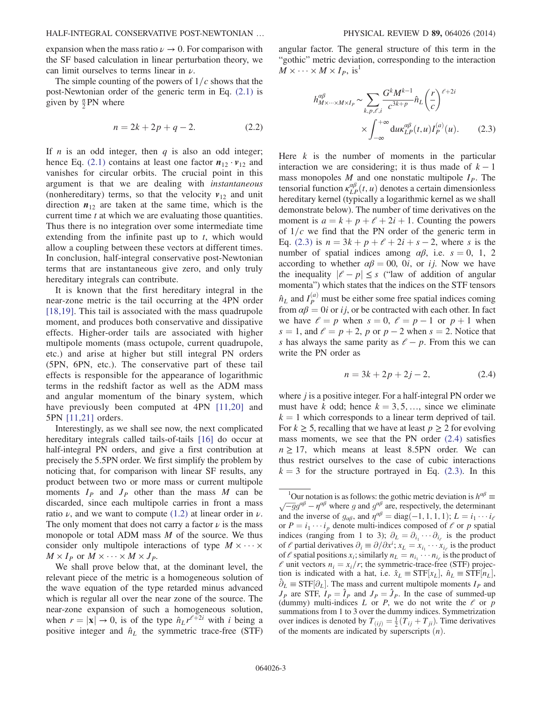expansion when the mass ratio  $\nu \to 0$ . For comparison with the SF based calculation in linear perturbation theory, we can limit ourselves to terms linear in  $\nu$ .

The simple counting of the powers of  $1/c$  shows that the post-Newtonian order of the generic term in Eq. (2.1) is given by  $\frac{n}{2}$ PN where

$$
n = 2k + 2p + q - 2.
$$
 (2.2)

If  $n$  is an odd integer, then  $q$  is also an odd integer; hence Eq. (2.1) contains at least one factor  $n_{12} \cdot v_{12}$  and vanishes for circular orbits. The crucial point in this argument is that we are dealing with instantaneous (nonhereditary) terms, so that the velocity  $v_{12}$  and unit direction  $n_{12}$  are taken at the same time, which is the current time  $t$  at which we are evaluating those quantities. Thus there is no integration over some intermediate time extending from the infinite past up to  $t$ , which would allow a coupling between these vectors at different times. In conclusion, half-integral conservative post-Newtonian terms that are instantaneous give zero, and only truly hereditary integrals can contribute.

It is known that the first hereditary integral in the near-zone metric is the tail occurring at the 4PN order [18,19]. This tail is associated with the mass quadrupole moment, and produces both conservative and dissipative effects. Higher-order tails are associated with higher multipole moments (mass octupole, current quadrupole, etc.) and arise at higher but still integral PN orders (5PN, 6PN, etc.). The conservative part of these tail effects is responsible for the appearance of logarithmic terms in the redshift factor as well as the ADM mass and angular momentum of the binary system, which have previously been computed at 4PN [11,20] and 5PN [11,21] orders.

Interestingly, as we shall see now, the next complicated hereditary integrals called tails-of-tails [16] do occur at half-integral PN orders, and give a first contribution at precisely the 5.5PN order. We first simplify the problem by noticing that, for comparison with linear SF results, any product between two or more mass or current multipole moments  $I_p$  and  $J_p$  other than the mass M can be discarded, since each multipole carries in front a mass ratio  $\nu$ , and we want to compute (1.2) at linear order in  $\nu$ . The only moment that does not carry a factor  $\nu$  is the mass monopole or total ADM mass  $M$  of the source. We thus consider only multipole interactions of type  $M \times \cdots \times$  $M \times I_p$  or  $M \times \cdots \times M \times J_p$ .

We shall prove below that, at the dominant level, the relevant piece of the metric is a homogeneous solution of the wave equation of the type retarded minus advanced which is regular all over the near zone of the source. The near-zone expansion of such a homogeneous solution, when  $r = |\mathbf{x}| \to 0$ , is of the type  $\hat{n}_L r^{2i}$  with i being a positive integer and  $\hat{n}_L$  the symmetric trace-free (STF) angular factor. The general structure of this term in the "gothic" metric deviation, corresponding to the interaction  $M \times \cdots \times M \times I_p$ , is<sup>1</sup>

$$
h_{M \times \dots \times M \times I_P}^{\alpha \beta} \sim \sum_{k,p,\ell,i} \frac{G^k M^{k-1}}{c^{3k+p}} \hat{n}_L \left(\frac{r}{c}\right)^{\ell+2i}
$$

$$
\times \int_{-\infty}^{+\infty} \mathrm{d}u \kappa_{LP}^{\alpha \beta}(t,u) I_P^{(a)}(u). \tag{2.3}
$$

Here  $k$  is the number of moments in the particular interaction we are considering; it is thus made of  $k - 1$ mass monopoles  $M$  and one nonstatic multipole  $I<sub>P</sub>$ . The tensorial function  $\kappa_{LP}^{\alpha\beta}(t, u)$  denotes a certain dimensionless<br>hereditary kernel (typically a logarithmic kernel as we shall hereditary kernel (typically a logarithmic kernel as we shall demonstrate below). The number of time derivatives on the moment is  $a = k + p + \ell + 2i + 1$ . Counting the powers of  $1/c$  we find that the PN order of the generic term in Eq. (2.3) is  $n = 3k + p + \ell + 2i + s - 2$ , where s is the number of spatial indices among  $\alpha\beta$ , i.e.  $s = 0, 1, 2$ according to whether  $\alpha\beta = 00$ , 0*i*, or *ij*. Now we have the inequality  $|\ell - p| \leq s$  ("law of addition of angular momenta") which states that the indices on the STF tensors  $\hat{n}_L$  and  $I_P^{(a)}$  must be either some free spatial indices coming<br>from  $\alpha \beta = 0i$  or ij or be contracted with each other. In fact from  $\alpha\beta = 0i$  or ij, or be contracted with each other. In fact we have  $\ell = p$  when  $s = 0$ ,  $\ell = p - 1$  or  $p + 1$  when s = 1, and  $\ell = p + 2$ , p or p – 2 when s = 2. Notice that s has always the same parity as  $\ell - p$ . From this we can write the PN order as

$$
n = 3k + 2p + 2j - 2,\tag{2.4}
$$

where  $j$  is a positive integer. For a half-integral PN order we must have k odd; hence  $k = 3, 5, \dots$ , since we eliminate  $k = 1$  which corresponds to a linear term deprived of tail. For  $k \geq 5$ , recalling that we have at least  $p \geq 2$  for evolving mass moments, we see that the PN order (2.4) satisfies  $n \geq 17$ , which means at least 8.5PN order. We can thus restrict ourselves to the case of cubic interactions  $k = 3$  for the structure portrayed in Eq. (2.3). In this

<sup>&</sup>lt;sup>1</sup>Our notation is as follows: the gothic metric deviation is  $h^{\alpha\beta} \equiv$ <sup>1</sup>Our notation is as follows: the gothic metric deviation is  $h^{\alpha\beta}$  ≡  $\sqrt{-g}g^{\alpha\beta} - \eta^{\alpha\beta}$  where g and  $g^{\alpha\beta}$  are, respectively, the determinant and the inverse of  $g_{\alpha\beta}$ , and  $\eta^{\alpha\beta} = \text{diag}(-1, 1, 1, 1);$   $L = i_1 \cdots i_\ell$ or  $P = i_1 \cdots i_p$  denote multi-indices composed of  $\ell$  or p spatial indices (ranging from 1 to 3);  $\partial_L = \partial_{i_1} \cdots \partial_{i_\ell}$  is the product of *ℓ* partial derivatives  $\partial_i \equiv \partial/\partial x^i$ ;  $x_L = x_{i_1} \cdots x_{i_\ell}$  is the product of  $\ell$  spatial positions  $x_i$ ; similarly  $n_i = n_i \cdots n_i$ , is the product of of  $\ell$  spatial positions  $x_i$ ; similarly  $n_L = n_{i_1} \cdots n_{i_\ell}$  is the product of  $\ell$  unit vectors  $n_i = x_i/r$ ; the symmetric-trace-free (STF) projection is indicated with a hat, i.e.  $\hat{x}_L \equiv STF[x_L]$ ,  $\hat{n}_L \equiv STF[n_L]$ ,  $\hat{\partial}_L = STF[\partial_L]$ . The mass and current multipole moments  $L_0$  and  $\partial_L \equiv STF[\partial_L]$ . The mass and current multipole moments  $I_P$  and  $I_P = \hat{I}_P$  and  $I_P = \hat{I}_P$ . In the case of summed up  $J_P$  are STF,  $I_P = \hat{I}_P$  and  $J_P = \hat{J}_P$ . In the case of summed-up (dummy) multi-indices L or P, we do not write the  $\ell$  or p (dummy) multi-indices L or P, we do not write the  $\ell$  or  $\tilde{p}$ summations from 1 to 3 over the dummy indices. Symmetrization over indices is denoted by  $T_{(ij)} = \frac{1}{2}(T_{ij} + T_{ji})$ . Time derivatives of the moments are indicated by superscripts  $(n)$ of the moments are indicated by superscripts  $(n)$ .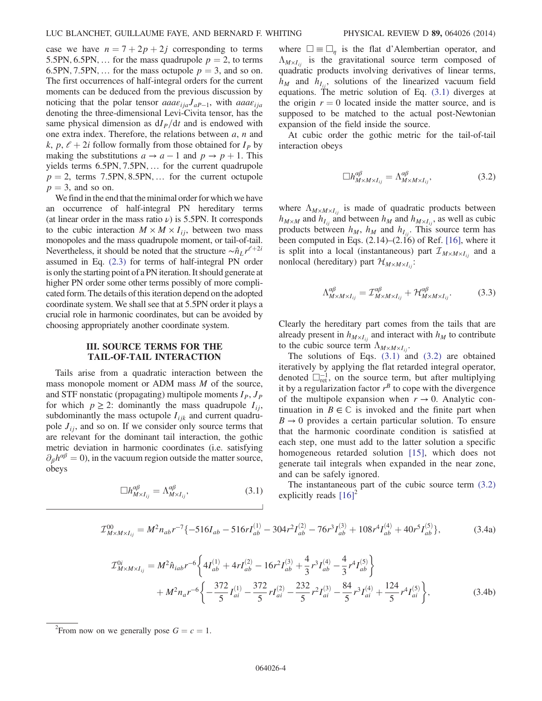case we have  $n = 7 + 2p + 2j$  corresponding to terms 5.5PN, 6.5PN, ... for the mass quadrupole  $p = 2$ , to terms 6.5PN, 7.5PN, ... for the mass octupole  $p = 3$ , and so on. The first occurrences of half-integral orders for the current moments can be deduced from the previous discussion by noticing that the polar tensor  $aaaa_{ija}J_{aP-1}$ , with  $aaa_{ija}$ denoting the three-dimensional Levi-Civita tensor, has the same physical dimension as  $dI_p/dt$  and is endowed with one extra index. Therefore, the relations between  $a$ ,  $n$  and k, p,  $\ell + 2i$  follow formally from those obtained for  $I_p$  by making the substitutions  $a \to a - 1$  and  $p \to p + 1$ . This yields terms <sup>6</sup>.5PN; <sup>7</sup>.5PN; … for the current quadrupole  $p = 2$ , terms 7.5PN, 8.5PN, ... for the current octupole  $p = 3$ , and so on.

We find in the end that the minimal order for which we have an occurrence of half-integral PN hereditary terms (at linear order in the mass ratio  $\nu$ ) is 5.5PN. It corresponds to the cubic interaction  $M \times M \times I_{ii}$ , between two mass monopoles and the mass quadrupole moment, or tail-of-tail. Nevertheless, it should be noted that the structure  $\sim \hat{n}_L r^{\ell+2i}$ assumed in Eq. (2.3) for terms of half-integral PN order is only the starting point of a PN iteration. It should generate at higher PN order some other terms possibly of more complicated form. The details of this iteration depend on the adopted coordinate system. We shall see that at 5.5PN order it plays a crucial role in harmonic coordinates, but can be avoided by choosing appropriately another coordinate system.

#### III. SOURCE TERMS FOR THE TAIL-OF-TAIL INTERACTION

Tails arise from a quadratic interaction between the mass monopole moment or ADM mass M of the source, and STF nonstatic (propagating) multipole moments  $I_p$ ,  $J_p$ for which  $p \geq 2$ : dominantly the mass quadrupole  $I_{ij}$ , subdominantly the mass octupole  $I_{ijk}$  and current quadrupole  $J_{ij}$ , and so on. If we consider only source terms that are relevant for the dominant tail interaction, the gothic metric deviation in harmonic coordinates (i.e. satisfying  $\partial_\beta h^{\alpha\beta} = 0$ , in the vacuum region outside the matter source, obeys

$$
\Box h_{M \times I_{ij}}^{\alpha \beta} = \Lambda_{M \times I_{ij}}^{\alpha \beta},\tag{3.1}
$$

where  $\square \equiv \square_n$  is the flat d'Alembertian operator, and  $\Lambda_{M \times I_{ij}}$  is the gravitational source term composed of quadratic products involving derivatives of linear terms quadratic products involving derivatives of linear terms,  $h_M$  and  $h_{I_{ij}}$ , solutions of the linearized vacuum field equations. The metric solution of Eq. (3.1) diverges at the origin  $r = 0$  located inside the matter source, and is supposed to be matched to the actual post-Newtonian expansion of the field inside the source.

At cubic order the gothic metric for the tail-of-tail interaction obeys

$$
\Box h_{M \times M \times I_{ij}}^{\alpha \beta} = \Lambda_{M \times M \times I_{ij}}^{\alpha \beta}, \tag{3.2}
$$

where  $\Lambda_{M \times M \times I_{ij}}$  is made of quadratic products between  $h$  and  $h$  are well as cubic  $h_{M \times M}$  and  $h_{I_{ij}}$  and between  $h_M$  and  $h_{M \times I_{ij}}$ , as well as cubic<br>products between  $h_M$ ,  $h_M$  and  $h$ . This source term has products between  $h_M$ ,  $h_M$  and  $h_{I_{ij}}$ . This source term has been computed in Eqs. (2.14)–(2.16) of Ref. [16], where it been computed in Eqs.  $(2.14)$ – $(2.16)$  of Ref. [16], where it is split into a local (instantaneous) part  $\mathcal{I}_{M \times M \times I_{ij}}$  and a nonlocal (hereditory) part  $\mathcal{H}$ nonlocal (hereditary) part  $\mathcal{H}_{M \times M \times I_{ij}}$ :

$$
\Lambda_{M \times M \times I_{ij}}^{\alpha \beta} = \mathcal{I}_{M \times M \times I_{ij}}^{\alpha \beta} + \mathcal{H}_{M \times M \times I_{ij}}^{\alpha \beta}.
$$
 (3.3)

Clearly the hereditary part comes from the tails that are already present in  $h_{M \times I_{ij}}$  and interact with  $h_M$  to contribute<br>to the cubic source term  $\Lambda_M$  is in to the cubic source term  $\Lambda_{M \times M \times I_{ii}}$ .

The solutions of Eqs. (3.1) and (3.2) are obtained iteratively by applying the flat retarded integral operator, denoted  $\square_{\rm ret}^{-1}$ , on the source term, but after multiplying it by a regularization factor  $r^B$  to cope with the divergence of the multipole expansion when  $r \to 0$ . Analytic continuation in  $B \in \mathbb{C}$  is invoked and the finite part when  $B \rightarrow 0$  provides a certain particular solution. To ensure that the harmonic coordinate condition is satisfied at each step, one must add to the latter solution a specific homogeneous retarded solution [15], which does not generate tail integrals when expanded in the near zone, and can be safely ignored.

The instantaneous part of the cubic source term (3.2) explicitly reads  $[16]^2$ 

$$
\mathcal{I}_{M \times M \times I_{ij}}^{00} = M^2 n_{ab} r^{-7} \{-516I_{ab} - 516rI_{ab}^{(1)} - 304r^2I_{ab}^{(2)} - 76r^3I_{ab}^{(3)} + 108r^4I_{ab}^{(4)} + 40r^5I_{ab}^{(5)}\},\tag{3.4a}
$$

$$
\mathcal{I}_{M \times M \times I_{ij}}^{0i} = M^2 \hat{n}_{iab} r^{-6} \left\{ 4I_{ab}^{(1)} + 4rI_{ab}^{(2)} - 16r^2I_{ab}^{(3)} + \frac{4}{3}r^3I_{ab}^{(4)} - \frac{4}{3}r^4I_{ab}^{(5)} \right\} + M^2 n_a r^{-6} \left\{ -\frac{372}{5}I_{ai}^{(1)} - \frac{372}{5}rI_{ai}^{(2)} - \frac{232}{5}r^2I_{ai}^{(3)} - \frac{84}{5}r^3I_{ai}^{(4)} + \frac{124}{5}r^4I_{ai}^{(5)} \right\},
$$
(3.4b)

<sup>&</sup>lt;sup>2</sup> From now on we generally pose  $G = c = 1$ .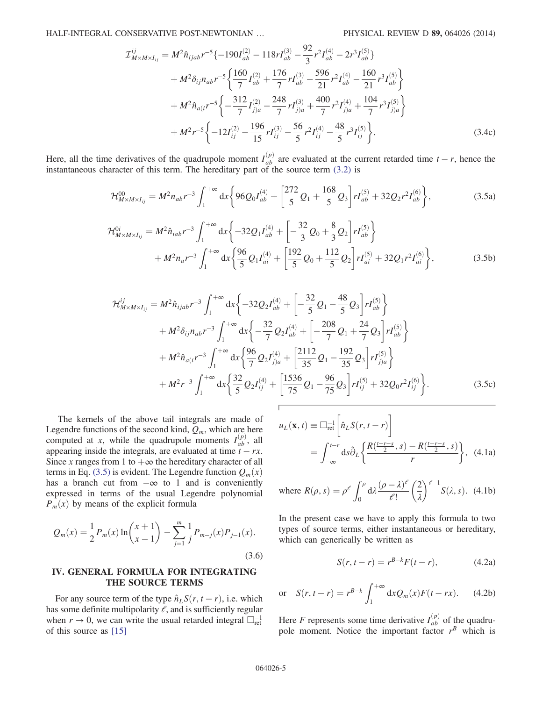$$
\mathcal{I}_{M \times M \times I_{ij}}^{ij} = M^{2} \hat{n}_{ijab} r^{-5} \{-190 I_{ab}^{(2)} - 118r I_{ab}^{(3)} - \frac{92}{3} r^{2} I_{ab}^{(4)} - 2r^{3} I_{ab}^{(5)} \} \n+ M^{2} \delta_{ij} n_{ab} r^{-5} \left\{ \frac{160}{7} I_{ab}^{(2)} + \frac{176}{7} r I_{ab}^{(3)} - \frac{596}{21} r^{2} I_{ab}^{(4)} - \frac{160}{21} r^{3} I_{ab}^{(5)} \right\} \n+ M^{2} \hat{n}_{a(i} r^{-5} \left\{ -\frac{312}{7} I_{j)a}^{(2)} - \frac{248}{7} r I_{j)a}^{(3)} + \frac{400}{7} r^{2} I_{j)a}^{(4)} + \frac{104}{7} r^{3} I_{j)a}^{(5)} \right\} \n+ M^{2} r^{-5} \left\{ -12 I_{ij}^{(2)} - \frac{196}{15} r I_{ij}^{(3)} - \frac{56}{5} r^{2} I_{ij}^{(4)} - \frac{48}{5} r^{3} I_{ij}^{(5)} \right\}.
$$
\n(3.4c)

Here, all the time derivatives of the quadrupole moment  $I_{ab}^{(P)}$  are evaluated at the current retarded time  $t - r$ , hence the instantaneous character of this term. The hereditary part of the source term (3.2) is

$$
\mathcal{H}_{M \times M \times I_{ij}}^{00} = M^2 n_{ab} r^{-3} \int_1^{+\infty} dx \bigg\{ 96 Q_0 I_{ab}^{(4)} + \bigg[ \frac{272}{5} Q_1 + \frac{168}{5} Q_3 \bigg] r I_{ab}^{(5)} + 32 Q_2 r^2 I_{ab}^{(6)} \bigg\},\tag{3.5a}
$$

$$
\mathcal{H}_{M \times M \times I_{ij}}^{0i} = M^{2} \hat{n}_{iab} r^{-3} \int_{1}^{+\infty} dx \left\{ -32Q_{1}I_{ab}^{(4)} + \left[ -\frac{32}{3}Q_{0} + \frac{8}{3}Q_{2} \right] r I_{ab}^{(5)} \right\} + M^{2} n_{a} r^{-3} \int_{1}^{+\infty} dx \left\{ \frac{96}{5}Q_{1}I_{ai}^{(4)} + \left[ \frac{192}{5}Q_{0} + \frac{112}{5}Q_{2} \right] r I_{ai}^{(5)} + 32Q_{1}r^{2} I_{ai}^{(6)} \right\},
$$
(3.5b)

$$
\mathcal{H}_{M \times M \times I_{ij}}^{ij} = M^{2} \hat{n}_{ijab} r^{-3} \int_{1}^{+\infty} dx \Biggl\{ -32 Q_{2} I_{ab}^{(4)} + \Biggl[ -\frac{32}{5} Q_{1} - \frac{48}{5} Q_{3} \Biggr] r I_{ab}^{(5)} \Biggr\} + M^{2} \delta_{ij} n_{ab} r^{-3} \int_{1}^{+\infty} dx \Biggl\{ -\frac{32}{7} Q_{2} I_{ab}^{(4)} + \Biggl[ -\frac{208}{7} Q_{1} + \frac{24}{7} Q_{3} \Biggr] r I_{ab}^{(5)} \Biggr\} + M^{2} \hat{n}_{a(i} r^{-3} \int_{1}^{+\infty} dx \Biggl\{ \frac{96}{7} Q_{2} I_{j)a}^{(4)} + \Biggl[ \frac{2112}{35} Q_{1} - \frac{192}{35} Q_{3} \Biggr] r I_{j)a}^{(5)} \Biggr\} + M^{2} r^{-3} \int_{1}^{+\infty} dx \Biggl\{ \frac{32}{5} Q_{2} I_{ij}^{(4)} + \Biggl[ \frac{1536}{75} Q_{1} - \frac{96}{75} Q_{3} \Biggr] r I_{ij}^{(5)} + 32 Q_{0} r^{2} I_{ij}^{(6)} \Biggr\}.
$$
 (3.5c)

The kernels of the above tail integrals are made of Legendre functions of the second kind,  $Q_m$ , which are here computed at x, while the quadrupole moments  $I_{ab}^{(p)}$ , all<br>appearing inside the integrals are evaluated at time  $t = rr$ . appearing inside the integrals, are evaluated at time  $t - rx$ . Since x ranges from 1 to  $+\infty$  the hereditary character of all terms in Eq. (3.5) is evident. The Legendre function  $Q_m(x)$ has a branch cut from  $-\infty$  to 1 and is conveniently expressed in terms of the usual Legendre polynomial  $P_m(x)$  by means of the explicit formula

$$
Q_m(x) = \frac{1}{2} P_m(x) \ln\left(\frac{x+1}{x-1}\right) - \sum_{j=1}^m \frac{1}{j} P_{m-j}(x) P_{j-1}(x).
$$
\n(3.6)

#### IV. GENERAL FORMULA FOR INTEGRATING THE SOURCE TERMS

For any source term of the type  $\hat{n}_L S(r, t - r)$ , i.e. which has some definite multipolarity  $\ell$ , and is sufficiently regular when  $r \to 0$ , we can write the usual retarded integral  $\square_{\text{ret}}^{-1}$  of this source as [15] of this source as [15]

$$
u_L(\mathbf{x}, t) \equiv \Box_{\text{ret}}^{-1} \left[ \hat{n}_L S(r, t - r) \right]
$$
  
= 
$$
\int_{-\infty}^{t-r} ds \hat{\partial}_L \left\{ \frac{R(\frac{t-r-s}{2}, s) - R(\frac{t+r-s}{2}, s)}{r} \right\}, \quad (4.1a)
$$

where 
$$
R(\rho, s) = \rho^e \int_0^{\rho} d\lambda \frac{(\rho - \lambda)^e}{\ell!} \left(\frac{2}{\lambda}\right)^{e-1} S(\lambda, s)
$$
. (4.1b)

In the present case we have to apply this formula to two types of source terms, either instantaneous or hereditary, which can generically be written as

$$
S(r, t - r) = r^{B-k} F(t - r),
$$
 (4.2a)

$$
\text{or} \quad S(r, t-r) = r^{B-k} \int_1^{+\infty} dx Q_m(x) F(t-rx). \tag{4.2b}
$$

Here F represents some time derivative  $I_{ab}^{(P)}$  of the quadru-<br>pole moment. Notice the important factor  $r^B$  which is pole moment. Notice the important factor  $r^B$  which is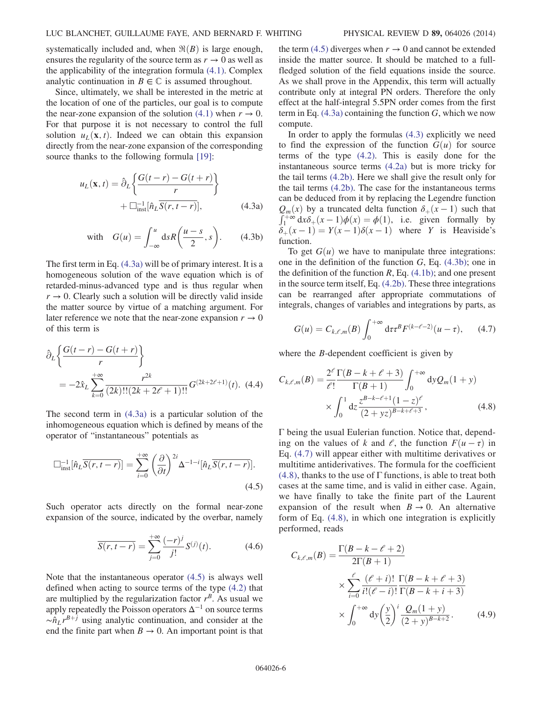systematically included and, when  $\Re(B)$  is large enough, ensures the regularity of the source term as  $r \to 0$  as well as the applicability of the integration formula (4.1). Complex analytic continuation in  $B \in \mathbb{C}$  is assumed throughout.

Since, ultimately, we shall be interested in the metric at the location of one of the particles, our goal is to compute the near-zone expansion of the solution (4.1) when  $r \to 0$ . For that purpose it is not necessary to control the full solution  $u_L(\mathbf{x}, t)$ . Indeed we can obtain this expansion directly from the near-zone expansion of the corresponding source thanks to the following formula [19]:

$$
u_L(\mathbf{x}, t) = \hat{\partial}_L \left\{ \frac{G(t - r) - G(t + r)}{r} \right\}
$$

$$
+ \Box_{\text{inst}}^{-1} [\hat{n}_L \overline{S(r, t - r)}], \tag{4.3a}
$$

with 
$$
G(u) = \int_{-\infty}^{u} ds R\left(\frac{u-s}{2}, s\right)
$$
. (4.3b)

The first term in Eq. (4.3a) will be of primary interest. It is a homogeneous solution of the wave equation which is of retarded-minus-advanced type and is thus regular when  $r \rightarrow 0$ . Clearly such a solution will be directly valid inside the matter source by virtue of a matching argument. For later reference we note that the near-zone expansion  $r \to 0$ of this term is

$$
\hat{\partial}_L \left\{ \frac{G(t-r) - G(t+r)}{r} \right\}
$$
  
=  $-2\hat{x}_L \sum_{k=0}^{+\infty} \frac{r^{2k}}{(2k)!!(2k+2\ell+1)!!} G^{(2k+2\ell+1)}(t)$ . (4.4)

The second term in (4.3a) is a particular solution of the inhomogeneous equation which is defined by means of the operator of "instantaneous" potentials as

$$
\Box_{\text{inst}}^{-1}[\hat{n}_L \overline{S(r, t - r)}] = \sum_{i=0}^{+\infty} \left(\frac{\partial}{\partial t}\right)^{2i} \Delta^{-1-i}[\hat{n}_L \overline{S(r, t - r)}].
$$
\n(4.5)

Such operator acts directly on the formal near-zone expansion of the source, indicated by the overbar, namely

$$
\overline{S(r, t-r)} = \sum_{j=0}^{+\infty} \frac{(-r)^j}{j!} S^{(j)}(t). \tag{4.6}
$$

Note that the instantaneous operator (4.5) is always well defined when acting to source terms of the type (4.2) that are multiplied by the regularization factor  $r^B$ . As usual we apply repeatedly the Poisson operators  $\Delta^{-1}$  on source terms  $\sim \hat{n}_L r^{B+j}$  using analytic continuation, and consider at the end the finite part when  $B \to 0$ . An important point is that the term (4.5) diverges when  $r \to 0$  and cannot be extended inside the matter source. It should be matched to a fullfledged solution of the field equations inside the source. As we shall prove in the Appendix, this term will actually contribute only at integral PN orders. Therefore the only effect at the half-integral 5.5PN order comes from the first term in Eq.  $(4.3a)$  containing the function G, which we now compute.

In order to apply the formulas (4.3) explicitly we need to find the expression of the function  $G(u)$  for source terms of the type (4.2). This is easily done for the instantaneous source terms (4.2a) but is more tricky for the tail terms (4.2b). Here we shall give the result only for the tail terms (4.2b). The case for the instantaneous terms can be deduced from it by replacing the Legendre function  $Q_m(x)$  by a truncated delta function  $\delta_+(x-1)$  such that  $\int_{1}^{+\infty} dx \delta_{+}(x-1)\phi(x) = \phi(1)$ , i.e. given formally by  $\delta_{+}(x-1) = Y(x-1)\delta(x-1)$  where Y is Heaviside's function.

To get  $G(u)$  we have to manipulate three integrations: one in the definition of the function  $G$ , Eq.  $(4.3b)$ ; one in the definition of the function  $R$ , Eq.  $(4.1b)$ ; and one present in the source term itself, Eq. (4.2b). These three integrations can be rearranged after appropriate commutations of integrals, changes of variables and integrations by parts, as

$$
G(u) = C_{k,\ell,m}(B) \int_0^{+\infty} d\tau \tau^B F^{(k-\ell-2)}(u-\tau), \qquad (4.7)
$$

where the *B*-dependent coefficient is given by

$$
C_{k,\ell,m}(B) = \frac{2^{\ell}}{\ell!} \frac{\Gamma(B-k+\ell+3)}{\Gamma(B+1)} \int_0^{+\infty} dy Q_m(1+y) \times \int_0^1 dz \frac{z^{B-k-\ell+1}(1-z)^{\ell}}{(2+yz)^{B-k+\ell+3}},
$$
(4.8)

Γ being the usual Eulerian function. Notice that, depending on the values of k and  $\ell$ , the function  $F(u - \tau)$  in Eq. (4.7) will appear either with multitime derivatives or multitime antiderivatives. The formula for the coefficient  $(4.8)$ , thanks to the use of Γ functions, is able to treat both cases at the same time, and is valid in either case. Again, we have finally to take the finite part of the Laurent expansion of the result when  $B \to 0$ . An alternative form of Eq. (4.8), in which one integration is explicitly performed, reads

$$
C_{k,\ell,m}(B) = \frac{\Gamma(B - k - \ell + 2)}{2\Gamma(B + 1)} \times \sum_{i=0}^{\ell} \frac{(\ell + i)! \Gamma(B - k + \ell + 3)}{i! (\ell - i)! \Gamma(B - k + i + 3)} \times \int_0^{+\infty} dy \left(\frac{y}{2}\right)^i \frac{Q_m(1 + y)}{(2 + y)^{B - k + 2}}.
$$
(4.9)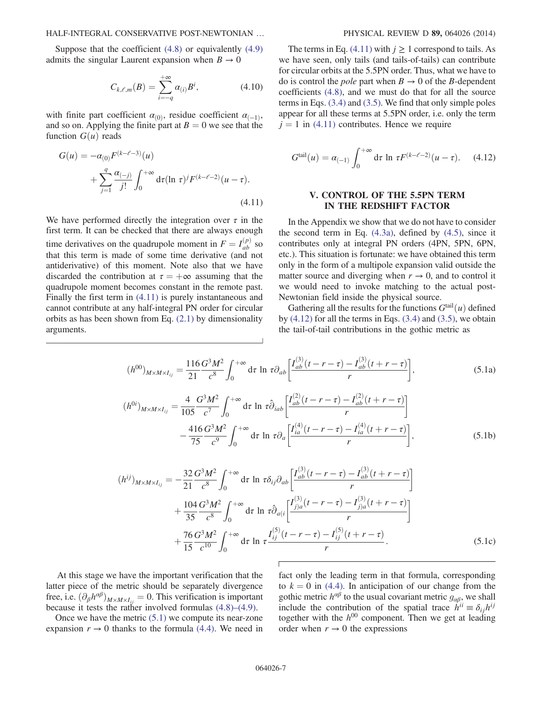#### HALF-INTEGRAL CONSERVATIVE POST-NEWTONIAN … PHYSICAL REVIEW D 89, 064026 (2014)

Suppose that the coefficient (4.8) or equivalently (4.9) admits the singular Laurent expansion when  $B \to 0$ 

$$
C_{k,\ell,m}(B) = \sum_{i=-q}^{+\infty} \alpha_{(i)} B^i, \qquad (4.10)
$$

with finite part coefficient  $\alpha_{(0)}$ , residue coefficient  $\alpha_{(-1)}$ , and so on. Applying the finite part at  $B = 0$  we see that the function  $G(u)$  reads

$$
G(u) = -\alpha_{(0)} F^{(k-\ell-3)}(u)
$$
  
+ 
$$
\sum_{j=1}^{q} \frac{\alpha_{(-j)}}{j!} \int_{0}^{+\infty} d\tau (\ln \tau)^{j} F^{(k-\ell-2)}(u-\tau).
$$
 (4.11)

We have performed directly the integration over  $\tau$  in the first term. It can be checked that there are always enough time derivatives on the quadrupole moment in  $F = I_{ab}^{(P)}$  so that this term is made of some time derivative (and not antiderivative) of this moment. Note also that we have discarded the contribution at  $\tau = +\infty$  assuming that the quadrupole moment becomes constant in the remote past. Finally the first term in (4.11) is purely instantaneous and cannot contribute at any half-integral PN order for circular orbits as has been shown from Eq.  $(2.1)$  by dimensionality arguments.

The terms in Eq. (4.11) with  $j \ge 1$  correspond to tails. As we have seen, only tails (and tails-of-tails) can contribute for circular orbits at the 5.5PN order. Thus, what we have to do is control the *pole* part when  $B \to 0$  of the B-dependent coefficients (4.8), and we must do that for all the source terms in Eqs. (3.4) and (3.5). We find that only simple poles appear for all these terms at 5.5PN order, i.e. only the term  $j = 1$  in (4.11) contributes. Hence we require

$$
Gtail(u) = \alpha_{(-1)} \int_0^{+\infty} d\tau \ln \tau F^{(k-\ell-2)}(u-\tau). \quad (4.12)
$$

#### V. CONTROL OF THE 5.5PN TERM IN THE REDSHIFT FACTOR

In the Appendix we show that we do not have to consider the second term in Eq.  $(4.3a)$ , defined by  $(4.5)$ , since it contributes only at integral PN orders (4PN, 5PN, 6PN, etc.). This situation is fortunate: we have obtained this term only in the form of a multipole expansion valid outside the matter source and diverging when  $r \to 0$ , and to control it we would need to invoke matching to the actual post-Newtonian field inside the physical source.

Gathering all the results for the functions  $G<sup>tail</sup>(u)$  defined by  $(4.12)$  for all the terms in Eqs.  $(3.4)$  and  $(3.5)$ , we obtain the tail-of-tail contributions in the gothic metric as

$$
(h^{00})_{M \times M \times I_{ij}} = \frac{116}{21} \frac{G^3 M^2}{c^8} \int_0^{+\infty} d\tau \ln \tau \partial_{ab} \left[ \frac{I_{ab}^{(3)}(t-r-\tau) - I_{ab}^{(3)}(t+r-\tau)}{r} \right],
$$
(5.1a)

$$
(h^{0i})_{M \times M \times I_{ij}} = \frac{4}{105} \frac{G^3 M^2}{c^7} \int_0^{+\infty} d\tau \ln \tau \hat{\partial}_{iab} \left[ \frac{I_{ab}^{(2)}(t-r-\tau) - I_{ab}^{(2)}(t+r-\tau)}{r} \right] - \frac{416}{75} \frac{G^3 M^2}{c^9} \int_0^{+\infty} d\tau \ln \tau \hat{\partial}_a \left[ \frac{I_{ia}^{(4)}(t-r-\tau) - I_{ia}^{(4)}(t+r-\tau)}{r} \right],
$$
(5.1b)

$$
(h^{ij})_{M \times M \times I_{ij}} = -\frac{32}{21} \frac{G^3 M^2}{c^8} \int_0^{+\infty} d\tau \ln \tau \delta_{ij} \partial_{ab} \left[ \frac{I_{ab}^{(3)}(t - r - \tau) - I_{ab}^{(3)}(t + r - \tau)}{r} \right] + \frac{104}{35} \frac{G^3 M^2}{c^8} \int_0^{+\infty} d\tau \ln \tau \hat{\partial}_{a(i} \left[ \frac{I_{j)a}^{(3)}(t - r - \tau) - I_{j)a}^{(3)}(t + r - \tau)}{r} \right] + \frac{76}{15} \frac{G^3 M^2}{c^{10}} \int_0^{+\infty} d\tau \ln \tau \frac{I_{ij}^{(5)}(t - r - \tau) - I_{ij}^{(5)}(t + r - \tau)}{r}.
$$
 (5.1c)

At this stage we have the important verification that the latter piece of the metric should be separately divergence free, i.e.  $(\partial_{\beta}h^{\alpha\beta})_{M \times M \times I_{ij}} = 0$ . This verification is important because it tests the rather involved formulas (4.8)–(4.9).

Once we have the metric (5.1) we compute its near-zone expansion  $r \to 0$  thanks to the formula (4.4). We need in fact only the leading term in that formula, corresponding to  $k = 0$  in (4.4). In anticipation of our change from the gothic metric  $h^{\alpha\beta}$  to the usual covariant metric  $g_{\alpha\beta}$ , we shall include the contribution of the spatial trace  $h^{ii} \equiv \delta_{ij}h^{ij}$ together with the  $h^{00}$  component. Then we get at leading order when  $r \to 0$  the expressions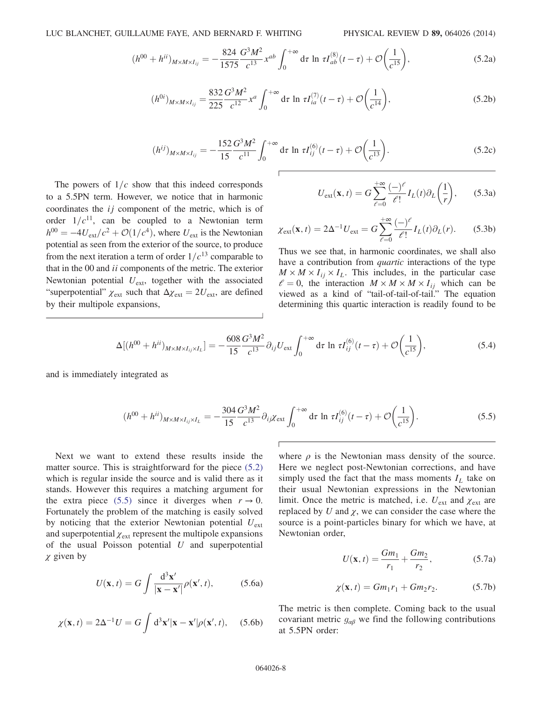LUC BLANCHET, GUILLAUME FAYE, AND BERNARD F. WHITING PHYSICAL REVIEW D 89, 064026 (2014)

$$
(h^{00} + h^{ii})_{M \times M \times I_{ij}} = -\frac{824}{1575} \frac{G^3 M^2}{c^{13}} x^{ab} \int_0^{+\infty} d\tau \ln \tau I_{ab}^{(8)}(\tau - \tau) + \mathcal{O}\left(\frac{1}{c^{15}}\right),\tag{5.2a}
$$

$$
(h^{0i})_{M \times M \times I_{ij}} = \frac{832}{225} \frac{G^3 M^2}{c^{12}} x^a \int_0^{+\infty} d\tau \ln \tau I_{ia}^{(7)}(\tau - \tau) + \mathcal{O}\left(\frac{1}{c^{14}}\right),\tag{5.2b}
$$

$$
(h^{ij})_{M \times M \times I_{ij}} = -\frac{152}{15} \frac{G^3 M^2}{c^{11}} \int_0^{+\infty} d\tau \ln \tau I_{ij}^{(6)}(\tau - \tau) + \mathcal{O}\left(\frac{1}{c^{13}}\right).
$$
 (5.2c)

The powers of  $1/c$  show that this indeed corresponds to a 5.5PN term. However, we notice that in harmonic coordinates the ij component of the metric, which is of order  $1/c^{11}$ , can be coupled to a Newtonian term  $h^{00} = -4U_{ext}/c^2 + \mathcal{O}(1/c^4)$ , where  $U_{ext}$  is the Newtonian potential as seen from the exterior of the source, to produce from the next iteration a term of order  $1/c^{13}$  comparable to that in the 00 and ii components of the metric. The exterior Newtonian potential  $U_{\text{ext}}$ , together with the associated "superpotential"  $\chi_{\text{ext}}$  such that  $\Delta \chi_{\text{ext}} = 2U_{\text{ext}}$ , are defined by their multipole expansions,

$$
U_{\text{ext}}(\mathbf{x}, t) = G \sum_{\ell=0}^{+\infty} \frac{(-)^{\ell}}{\ell!} I_L(t) \partial_L \left(\frac{1}{r}\right), \qquad (5.3a)
$$

$$
\chi_{\text{ext}}(\mathbf{x},t) = 2\Delta^{-1}U_{\text{ext}} = G \sum_{\ell=0}^{+\infty} \frac{(-)^{\ell}}{\ell!} I_L(t) \partial_L(r). \tag{5.3b}
$$

Thus we see that, in harmonic coordinates, we shall also have a contribution from *quartic* interactions of the type  $M \times M \times I_{ii} \times I_L$ . This includes, in the particular case  $l = 0$ , the interaction  $M \times M \times M \times I_{ii}$  which can be viewed as a kind of "tail-of-tail-of-tail." The equation determining this quartic interaction is readily found to be

$$
\Delta[(h^{00} + h^{ii})_{M \times M \times I_{ij} \times I_L}] = -\frac{608}{15} \frac{G^3 M^2}{c^{13}} \partial_{ij} U_{\text{ext}} \int_0^{+\infty} d\tau \ln \tau I_{ij}^{(6)}(t-\tau) + \mathcal{O}\left(\frac{1}{c^{15}}\right),\tag{5.4}
$$

and is immediately integrated as

$$
(h^{00} + h^{ii})_{M \times M \times I_{ij} \times I_L} = -\frac{304}{15} \frac{G^3 M^2}{c^{13}} \partial_{ij} \chi_{\text{ext}} \int_0^{+\infty} d\tau \ln \tau I_{ij}^{(6)}(t-\tau) + \mathcal{O}\left(\frac{1}{c^{15}}\right). \tag{5.5}
$$

Next we want to extend these results inside the matter source. This is straightforward for the piece  $(5.2)$ which is regular inside the source and is valid there as it stands. However this requires a matching argument for the extra piece (5.5) since it diverges when  $r \to 0$ . Fortunately the problem of the matching is easily solved by noticing that the exterior Newtonian potential  $U_{ext}$ and superpotential  $\chi_{\text{ext}}$  represent the multipole expansions of the usual Poisson potential  $U$  and superpotential  $\chi$  given by

$$
U(\mathbf{x},t) = G \int \frac{\mathrm{d}^3 \mathbf{x}'}{|\mathbf{x} - \mathbf{x}'|} \rho(\mathbf{x}',t), \tag{5.6a}
$$

$$
\chi(\mathbf{x},t) = 2\Delta^{-1}U = G \int d^3 \mathbf{x}' |\mathbf{x} - \mathbf{x}'| \rho(\mathbf{x}',t), \quad (5.6b)
$$

where  $\rho$  is the Newtonian mass density of the source. Here we neglect post-Newtonian corrections, and have simply used the fact that the mass moments  $I_L$  take on their usual Newtonian expressions in the Newtonian limit. Once the metric is matched, i.e.  $U_{ext}$  and  $\chi_{ext}$  are replaced by U and  $\chi$ , we can consider the case where the source is a point-particles binary for which we have, at Newtonian order,

$$
U(\mathbf{x}, t) = \frac{Gm_1}{r_1} + \frac{Gm_2}{r_2},
$$
 (5.7a)

$$
\chi(\mathbf{x}, t) = Gm_1r_1 + Gm_2r_2. \tag{5.7b}
$$

The metric is then complete. Coming back to the usual covariant metric  $g_{\alpha\beta}$  we find the following contributions at 5.5PN order: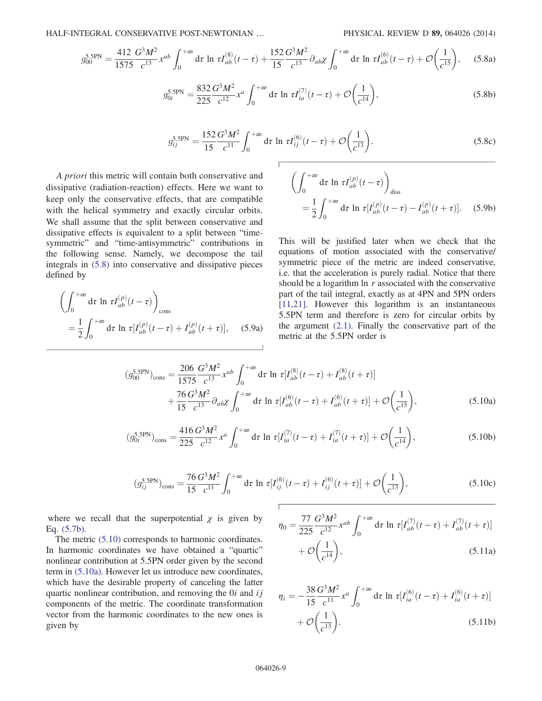HALF-INTEGRAL CONSERVATIVE POST-NEWTONIAN … PHYSICAL REVIEW D 89, 064026 (2014)

$$
g_{00}^{5.5\text{PN}} = \frac{412}{1575} \frac{G^3 M^2}{c^{13}} x^{ab} \int_0^{+\infty} d\tau \ln \tau I_{ab}^{(8)}(t-\tau) + \frac{152}{15} \frac{G^3 M^2}{c^{13}} \partial_{ab} \chi \int_0^{+\infty} d\tau \ln \tau I_{ab}^{(6)}(t-\tau) + \mathcal{O}\left(\frac{1}{c^{15}}\right), \quad (5.8a)
$$

$$
g_{0i}^{5.5\text{PN}} = \frac{832}{225} \frac{G^3 M^2}{c^{12}} x^a \int_0^{+\infty} d\tau \ln \tau I_{ia}^{(7)}(t-\tau) + \mathcal{O}\left(\frac{1}{c^{14}}\right),\tag{5.8b}
$$

$$
g_{ij}^{5.5\text{PN}} = \frac{152}{15} \frac{G^3 M^2}{c^{11}} \int_0^{+\infty} d\tau \ln \tau I_{ij}^{(6)}(t-\tau) + \mathcal{O}\left(\frac{1}{c^{13}}\right).
$$
 (5.8c)

A priori this metric will contain both conservative and dissipative (radiation-reaction) effects. Here we want to keep only the conservative effects, that are compatible with the helical symmetry and exactly circular orbits. We shall assume that the split between conservative and dissipative effects is equivalent to a split between "timesymmetric" and "time-antisymmetric" contributions in the following sense. Namely, we decompose the tail integrals in (5.8) into conservative and dissipative pieces defined by

$$
\left(\int_0^{+\infty} d\tau \ln \tau I_{ab}^{(p)}(t-\tau)\right)_{\text{cons}}
$$
  
=  $\frac{1}{2} \int_0^{+\infty} d\tau \ln \tau [I_{ab}^{(p)}(t-\tau) + I_{ab}^{(p)}(t+\tau)],$  (5.9a)

$$
\left(\int_0^{+\infty} d\tau \ln \tau I_{ab}^{(p)}(t-\tau)\right)_{\text{diss}}
$$
  
=  $\frac{1}{2} \int_0^{+\infty} d\tau \ln \tau [I_{ab}^{(p)}(t-\tau) - I_{ab}^{(p)}(t+\tau)].$  (5.9b)

This will be justified later when we check that the equations of motion associated with the conservative/ symmetric piece of the metric are indeed conservative, i.e. that the acceleration is purely radial. Notice that there should be a logarithm  $\ln r$  associated with the conservative part of the tail integral, exactly as at 4PN and 5PN orders [11,21]. However this logarithm is an instantaneous 5.5PN term and therefore is zero for circular orbits by the argument  $(2.1)$ . Finally the conservative part of the metric at the 5.5PN order is

$$
(g_{00}^{5.5PN})_{\text{cons}} = \frac{206}{1575} \frac{G^3 M^2}{c^{13}} x^{ab} \int_0^{+\infty} d\tau \ln \tau [I_{ab}^{(8)}(\tau - \tau) + I_{ab}^{(8)}(\tau + \tau)] + \frac{76}{15} \frac{G^3 M^2}{c^{13}} \partial_{ab} \chi \int_0^{+\infty} d\tau \ln \tau [I_{ab}^{(6)}(\tau - \tau) + I_{ab}^{(6)}(\tau + \tau)] + \mathcal{O}\left(\frac{1}{c^{15}}\right),
$$
(5.10a)

$$
(g_{0i}^{5.5PN})_{\text{cons}} = \frac{416}{225} \frac{G^3 M^2}{c^{12}} x^a \int_0^{+\infty} d\tau \ln \tau [I_{ia}^{(7)}(\tau - \tau) + I_{ia}^{(7)}(\tau + \tau)] + \mathcal{O}\left(\frac{1}{c^{14}}\right),\tag{5.10b}
$$

$$
(g_{ij}^{5.5PN})_{\text{cons}} = \frac{76}{15} \frac{G^3 M^2}{c^{11}} \int_0^{+\infty} d\tau \ln \tau [I_{ij}^{(6)}(\tau - \tau) + I_{ij}^{(6)}(\tau + \tau)] + \mathcal{O}\left(\frac{1}{c^{13}}\right),\tag{5.10c}
$$

where we recall that the superpotential  $\chi$  is given by Eq. (5.7b).

The metric (5.10) corresponds to harmonic coordinates. In harmonic coordinates we have obtained a "quartic" nonlinear contribution at 5.5PN order given by the second term in (5.10a). However let us introduce new coordinates, which have the desirable property of canceling the latter quartic nonlinear contribution, and removing the  $0i$  and  $ij$ components of the metric. The coordinate transformation vector from the harmonic coordinates to the new ones is given by

$$
\eta_0 = \frac{77}{225} \frac{G^3 M^2}{c^{12}} x^{ab} \int_0^{+\infty} d\tau \ln \tau [I_{ab}^{(7)}(\tau - \tau) + I_{ab}^{(7)}(\tau + \tau)] + \mathcal{O}\left(\frac{1}{c^{14}}\right),
$$
\n(5.11a)

$$
\eta_i = -\frac{38}{15} \frac{G^3 M^2}{c^{11}} x^a \int_0^{+\infty} d\tau \ln \tau [I_{ia}^{(6)}(\tau - \tau) + I_{ia}^{(6)}(\tau + \tau)] + \mathcal{O}\left(\frac{1}{c^{13}}\right).
$$
\n(5.11b)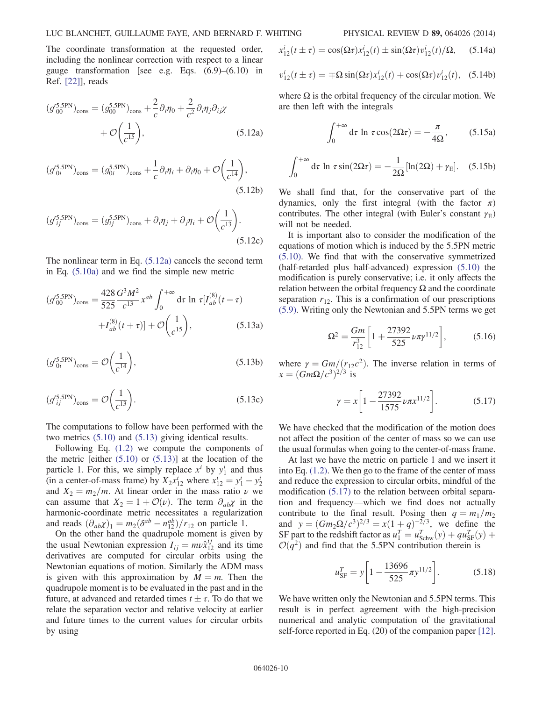The coordinate transformation at the requested order, including the nonlinear correction with respect to a linear gauge transformation [see e.g. Eqs. (6.9)–(6.10) in Ref. [22]], reads

$$
(g_{00}^{5.5PN})_{\text{cons}} = (g_{00}^{5.5PN})_{\text{cons}} + \frac{2}{c} \partial_t \eta_0 + \frac{2}{c^2} \partial_i \eta_j \partial_{ij} \chi + \mathcal{O}\left(\frac{1}{c^{15}}\right),
$$
 (5.12a)

$$
(g_{0i}^{5.5PN})_{\text{cons}} = (g_{0i}^{5.5PN})_{\text{cons}} + \frac{1}{c}\partial_i \eta_i + \partial_i \eta_0 + \mathcal{O}\left(\frac{1}{c^{14}}\right),\tag{5.12b}
$$

$$
(g_{ij}^{\text{5.5PN}})_{\text{cons}} = (g_{ij}^{\text{5.5PN}})_{\text{cons}} + \partial_i \eta_j + \partial_j \eta_i + \mathcal{O}\left(\frac{1}{c^{13}}\right). \tag{5.12c}
$$

The nonlinear term in Eq. (5.12a) cancels the second term in Eq. (5.10a) and we find the simple new metric

$$
(g_{00}^{5.5PN})_{\text{cons}} = \frac{428}{525} \frac{G^3 M^2}{c^{13}} x^{ab} \int_0^{+\infty} d\tau \ln \tau [I_{ab}^{(8)}(\tau - \tau) + I_{ab}^{(8)}(\tau + \tau)] + \mathcal{O}\left(\frac{1}{c^{15}}\right),
$$
 (5.13a)

$$
\left(g_{0i}^{5.5\text{PN}}\right)_{\text{cons}} = \mathcal{O}\left(\frac{1}{c^{14}}\right),\tag{5.13b}
$$

$$
(g_{ij}^{\text{5.5PN}})_{\text{cons}} = \mathcal{O}\left(\frac{1}{c^{13}}\right). \tag{5.13c}
$$

The computations to follow have been performed with the two metrics (5.10) and (5.13) giving identical results.

Following Eq. (1.2) we compute the components of the metric [either  $(5.10)$  or  $(5.13)$ ] at the location of the particle 1. For this, we simply replace  $x^i$  by  $y_1^i$  and thus<br>(in a center-of-mass frame) by  $X_x x^i$ , where  $x^i = y^i - y^i$ (in a center-of-mass frame) by  $X_2 x_{12}^i$  where  $x_{12}^i = y_1^i - y_2^i$ <br>and  $X_2 = m_2/m$ . At linear order in the mass ratio  $\nu$  we and  $X_2 = m_2/m$ . At linear order in the mass ratio  $\nu$  we can assume that  $X_2 = 1 + \mathcal{O}(\nu)$ . The term  $\partial_{ab}\chi$  in the harmonic-coordinate metric necessitates a regularization and reads  $(\partial_{ab}\chi)_1 = m_2(\delta^{ab} - n_{12}^{ab})/r_{12}$  on particle 1.<br>On the other hand the quadrupole moment is given

On the other hand the quadrupole moment is given by the usual Newtonian expression  $I_{ij} = m\nu \hat{x}_{12}^{ij}$  and its time<br>derivatives are computed for circular orbits using the derivatives are computed for circular orbits using the Newtonian equations of motion. Similarly the ADM mass is given with this approximation by  $M = m$ . Then the quadrupole moment is to be evaluated in the past and in the future, at advanced and retarded times  $t \pm \tau$ . To do that we relate the separation vector and relative velocity at earlier and future times to the current values for circular orbits by using

$$
x_{12}^{i}(t \pm \tau) = \cos(\Omega \tau) x_{12}^{i}(t) \pm \sin(\Omega \tau) v_{12}^{i}(t) / \Omega, \quad (5.14a)
$$

$$
v_{12}^{i}(t \pm \tau) = \mp \Omega \sin(\Omega \tau) x_{12}^{i}(t) + \cos(\Omega \tau) v_{12}^{i}(t), \quad (5.14b)
$$

where  $\Omega$  is the orbital frequency of the circular motion. We are then left with the integrals

$$
\int_0^{+\infty} d\tau \ln \tau \cos(2\Omega \tau) = -\frac{\pi}{4\Omega}, \qquad (5.15a)
$$

$$
\int_0^{+\infty} d\tau \ln \tau \sin(2\Omega \tau) = -\frac{1}{2\Omega} [\ln(2\Omega) + \gamma_E].
$$
 (5.15b)

We shall find that, for the conservative part of the dynamics, only the first integral (with the factor  $\pi$ ) contributes. The other integral (with Euler's constant  $\gamma_E$ ) will not be needed.

It is important also to consider the modification of the equations of motion which is induced by the 5.5PN metric (5.10). We find that with the conservative symmetrized (half-retarded plus half-advanced) expression (5.10) the modification is purely conservative; i.e. it only affects the relation between the orbital frequency  $\Omega$  and the coordinate separation  $r_{12}$ . This is a confirmation of our prescriptions (5.9). Writing only the Newtonian and 5.5PN terms we get

$$
\Omega^2 = \frac{Gm}{r_{12}^3} \left[ 1 + \frac{27392}{525} \nu \pi \gamma^{11/2} \right],\tag{5.16}
$$

where  $\gamma = \frac{Gm}{r_{12}c^2}$ . The inverse relation in terms of  $x = (Gm\Omega/c^3)^{2/3}$  is

$$
\gamma = x \left[ 1 - \frac{27392}{1575} \nu \pi x^{11/2} \right].
$$
 (5.17)

We have checked that the modification of the motion does not affect the position of the center of mass so we can use the usual formulas when going to the center-of-mass frame.

At last we have the metric on particle 1 and we insert it into Eq. (1.2). We then go to the frame of the center of mass and reduce the expression to circular orbits, mindful of the modification (5.17) to the relation between orbital separation and frequency—which we find does not actually contribute to the final result. Posing then  $q = m_1/m_2$ and  $y = (Gm_2\Omega/c^3)^{2/3} = x(1+q)^{-2/3}$ , we define the SF part to the redshift factor as  $u_1^T = u_{Schw}^T(y) + qu_{SF}^T(y) +$ <br>(2( $a^2$ ) and find that the 5.5PN contribution therein is SF part to the redshift ractor as  $u_1 = u_{Schw}(y) + qu_{SF}(y)$ <br>  $\mathcal{O}(q^2)$  and find that the 5.5PN contribution therein is

$$
u_{\rm SF}^T = y \left[ 1 - \frac{13696}{525} \pi y^{11/2} \right]. \tag{5.18}
$$

We have written only the Newtonian and 5.5PN terms. This result is in perfect agreement with the high-precision numerical and analytic computation of the gravitational self-force reported in Eq. (20) of the companion paper [12].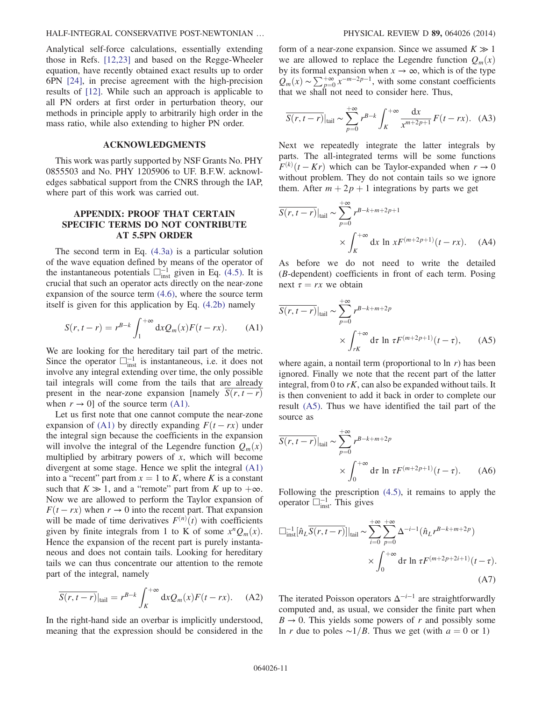Analytical self-force calculations, essentially extending those in Refs. [12,23] and based on the Regge-Wheeler equation, have recently obtained exact results up to order 6PN [24], in precise agreement with the high-precision results of [12]. While such an approach is applicable to all PN orders at first order in perturbation theory, our methods in principle apply to arbitrarily high order in the mass ratio, while also extending to higher PN order.

#### ACKNOWLEDGMENTS

This work was partly supported by NSF Grants No. PHY 0855503 and No. PHY 1205906 to UF. B.F.W. acknowledges sabbatical support from the CNRS through the IAP, where part of this work was carried out.

#### APPENDIX: PROOF THAT CERTAIN SPECIFIC TERMS DO NOT CONTRIBUTE AT 5.5PN ORDER

The second term in Eq. (4.3a) is a particular solution of the wave equation defined by means of the operator of the instantaneous potentials  $\square_{\text{inst}}^{-1}$  given in Eq. (4.5). It is crucial that such an operator acts directly on the near-zone expansion of the source term (4.6), where the source term itself is given for this application by Eq. (4.2b) namely

$$
S(r, t - r) = r^{B-k} \int_1^{+\infty} dx Q_m(x) F(t - rx).
$$
 (A1)

We are looking for the hereditary tail part of the metric. Since the operator  $\square_{inst}^{-1}$  is instantaneous, i.e. it does not involve any integral extending over time, the only possible tail integrals will come from the tails that are already present in the near-zone expansion [namely  $S(r, t - r)$ when  $r \to 0$ ] of the source term (A1).

Let us first note that one cannot compute the near-zone expansion of (A1) by directly expanding  $F(t - rx)$  under the integral sign because the coefficients in the expansion will involve the integral of the Legendre function  $Q_m(x)$ multiplied by arbitrary powers of  $x$ , which will become divergent at some stage. Hence we split the integral (A1) into a "recent" part from  $x = 1$  to K, where K is a constant such that  $K \gg 1$ , and a "remote" part from K up to  $+\infty$ . Now we are allowed to perform the Taylor expansion of  $F(t - rx)$  when  $r \to 0$  into the recent part. That expansion will be made of time derivatives  $F^{(n)}(t)$  with coefficients<br>oiven by finite integrals from 1 to K of some  $x^nQ(r)$ given by finite integrals from 1 to K of some  $x^n Q_m(x)$ . Hence the expansion of the recent part is purely instantaneous and does not contain tails. Looking for hereditary tails we can thus concentrate our attention to the remote part of the integral, namely

$$
\overline{S(r,t-r)}|_{\text{tail}} = r^{B-k} \int_K^{+\infty} dx Q_m(x) F(t-rx). \tag{A2}
$$

In the right-hand side an overbar is implicitly understood, meaning that the expression should be considered in the form of a near-zone expansion. Since we assumed  $K \gg 1$ we are allowed to replace the Legendre function  $Q_m(x)$ by its formal expansion when  $x \to \infty$ , which is of the type  $Q_m(x) \sim \sum_{p=0}^{+\infty} x^{-m-2p-1}$ , with some constant coefficients<br>that we shall not need to consider here. Thus that we shall not need to consider here. Thus,

$$
\overline{S(r,t-r)}|_{\text{tail}} \sim \sum_{p=0}^{+\infty} r^{B-k} \int_K^{+\infty} \frac{\mathrm{d}x}{x^{m+2p+1}} F(t-rx). \quad \text{(A3)}
$$

Next we repeatedly integrate the latter integrals by parts. The all-integrated terms will be some functions  $F^{\gamma}(t - K r)$  which can be Tayloi-expanded when  $r \rightarrow 0$ <br>without problem. They do not contain tails so we ignore  $F^{(k)}(t - Kr)$  which can be Taylor-expanded when  $r \to 0$ them. After  $m + 2p + 1$  integrations by parts we get

$$
\overline{S(r, t-r)}|_{\text{tail}} \sim \sum_{p=0}^{+\infty} r^{B-k+m+2p+1}
$$

$$
\times \int_{K}^{+\infty} dx \ln x F^{(m+2p+1)}(t-rx). \quad (A4)
$$

As before we do not need to write the detailed (B-dependent) coefficients in front of each term. Posing next  $\tau = rx$  we obtain

$$
\overline{S(r, t-r)}|_{\text{tail}} \sim \sum_{p=0}^{+\infty} r^{B-k+m+2p}
$$

$$
\times \int_{rK}^{+\infty} d\tau \ln \tau F^{(m+2p+1)}(t-\tau), \qquad (A5)
$$

where again, a nontail term (proportional to  $\ln r$ ) has been ignored. Finally we note that the recent part of the latter integral, from 0 to  $rK$ , can also be expanded without tails. It is then convenient to add it back in order to complete our result (A5). Thus we have identified the tail part of the source as

$$
\overline{S(r, t-r)}|_{\text{tail}} \sim \sum_{p=0}^{+\infty} r^{B-k+m+2p} \times \int_0^{+\infty} d\tau \ln \tau F^{(m+2p+1)}(t-\tau). \tag{A6}
$$

Following the prescription (4.5), it remains to apply the operator  $\square_{\text{inst}}^{-1}$ . This gives

$$
\Box_{\text{inst}}^{-1}[\hat{n}_L \overline{S(r, t-r)}]|_{\text{tail}} \sim \sum_{i=0}^{+\infty} \sum_{p=0}^{+\infty} \Delta^{-i-1} (\hat{n}_L r^{B-k+m+2p})
$$

$$
\times \int_0^{+\infty} d\tau \ln \tau F^{(m+2p+2i+1)}(t-\tau).
$$
(A7)

The iterated Poisson operators  $\Delta^{-i-1}$  are straightforwardly computed and, as usual, we consider the finite part when  $B \rightarrow 0$ . This yields some powers of r and possibly some ln r due to poles  $\sim$ 1/B. Thus we get (with  $a = 0$  or 1)